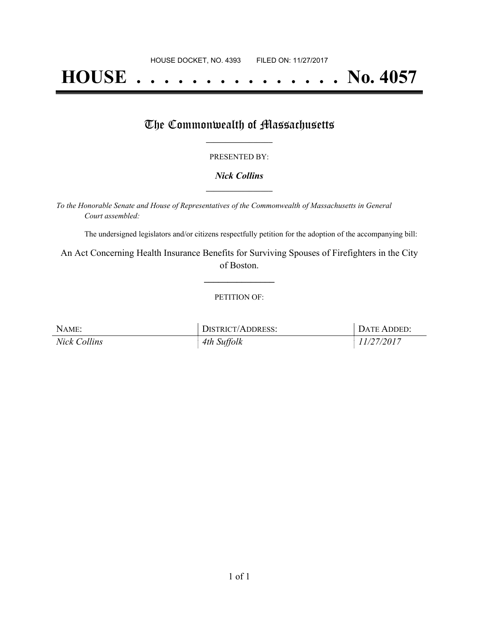# **HOUSE . . . . . . . . . . . . . . . No. 4057**

### The Commonwealth of Massachusetts

#### PRESENTED BY:

#### *Nick Collins* **\_\_\_\_\_\_\_\_\_\_\_\_\_\_\_\_\_**

*To the Honorable Senate and House of Representatives of the Commonwealth of Massachusetts in General Court assembled:*

The undersigned legislators and/or citizens respectfully petition for the adoption of the accompanying bill:

An Act Concerning Health Insurance Benefits for Surviving Spouses of Firefighters in the City of Boston.

**\_\_\_\_\_\_\_\_\_\_\_\_\_\_\_**

#### PETITION OF:

| NAME:               | <b>DISTRICT/ADDRESS:</b> | DATE ADDED: |
|---------------------|--------------------------|-------------|
| <b>Nick Collins</b> | 4th Suffolk              | 11/27/2017  |